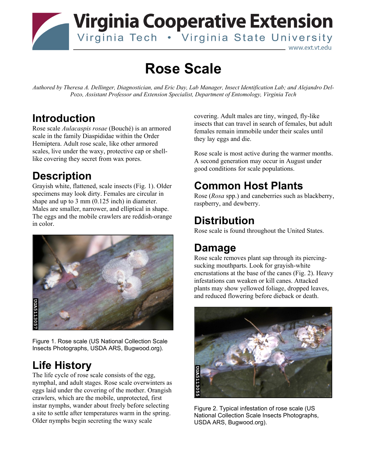#### **Virginia Cooperative Extension** Virginia Tech . Virginia State University www.ext.vt.edu

# **Rose Scale**

*Authored by Theresa A. Dellinger, Diagnostician, and Eric Day, Lab Manager, Insect Identification Lab; and Alejandro Del-Pozo, Assistant Professor and Extension Specialist, Department of Entomology, Virginia Tech* 

#### **Introduction**

Rose scale *Aulacaspis rosae* (Bouché) is an armored scale in the family Diaspididae within the Order Hemiptera. Adult rose scale, like other armored scales, live under the waxy, protective cap or shelllike covering they secret from wax pores.

### **Description**

Grayish white, flattened, scale insects (Fig. 1). Older specimens may look dirty. Females are circular in shape and up to 3 mm (0.125 inch) in diameter. Males are smaller, narrower, and elliptical in shape. The eggs and the mobile crawlers are reddish-orange in color.



Figure 1. Rose scale (US National Collection Scale Insects Photographs, USDA ARS, Bugwood.org).

## **Life History**

The life cycle of rose scale consists of the egg, nymphal, and adult stages. Rose scale overwinters as eggs laid under the covering of the mother. Orangish crawlers, which are the mobile, unprotected, first instar nymphs, wander about freely before selecting a site to settle after temperatures warm in the spring. Older nymphs begin secreting the waxy scale

covering. Adult males are tiny, winged, fly-like insects that can travel in search of females, but adult females remain immobile under their scales until they lay eggs and die.

Rose scale is most active during the warmer months. A second generation may occur in August under good conditions for scale populations.

## **Common Host Plants**

Rose (*Rosa* spp.) and caneberries such as blackberry, raspberry, and dewberry.

#### **Distribution**

Rose scale is found throughout the United States.

#### **Damage**

Rose scale removes plant sap through its piercingsucking mouthparts. Look for grayish-white encrustations at the base of the canes (Fig. 2). Heavy infestations can weaken or kill canes. Attacked plants may show yellowed foliage, dropped leaves, and reduced flowering before dieback or death.



Figure 2. Typical infestation of rose scale (US National Collection Scale Insects Photographs, USDA ARS, Bugwood.org).